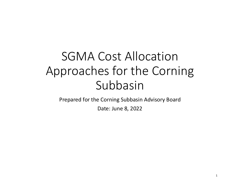# SGMA Cost Allocation Approaches for the Corning Subbasin

Prepared for the Corning Subbasin Advisory Board

Date: June 8, 2022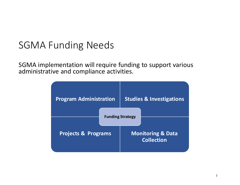#### SGMA Funding Needs

SGMA implementation will require funding to support various administrative and compliance activities.

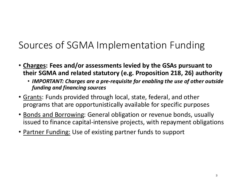# Sources of SGMA Implementation Funding

- Charges: Fees and/or assessments levied by the GSAs pursuant to their SGMA and related statutory (e.g. Proposition 218, 26) authority
	- IMPORTANT: Charges are <sup>a</sup> pre-requisite for enabling the use of other outside funding and financing sources
- Grants: Funds provided through local, state, federal, and other programs that are opportunistically available for specific purposes
- Bonds and Borrowing: General obligation or revenue bonds, usually issued to finance capital-intensive projects, with repayment obligations
- Partner Funding: Use of existing partner funds to support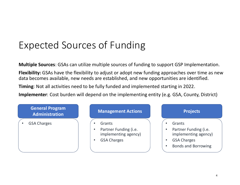# Expected Sources of Funding

Multiple Sources: GSAs can utilize multiple sources of funding to support GSP Implementation.

Flexibility: GSAs have the flexibility to adjust or adopt new funding approaches over time as new data becomes available, new needs are established, and new opportunities are identified.

Timing: Not all activities need to be fully funded and implemented starting in 2022.

Implementer: Cost burden will depend on the implementing entity (e.g. GSA, County, District)

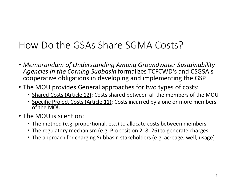### How Do the GSAs Share SGMA Costs?

- Memorandum of Understanding Among Groundwater Sustainability Agencies in the Corning Subbasin formalizes TCFCWD's and CSGSA's cooperative obligations in developing and implementing the GSP
- The MOU provides General approaches for two types of costs:
	- Shared Costs (Article 12): Costs shared between all the members of the MOU
	- Specific Project Costs (Article 11): Costs incurred by a one or more members of the MOU
- The MOU is silent on:
	- The method (e.g. proportional, etc.) to allocate costs between members
	- The regulatory mechanism (e.g. Proposition 218, 26) to generate charges
	- The approach for charging Subbasin stakeholders (e.g. acreage, well, usage)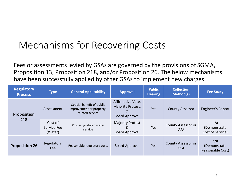#### Mechanisms for Recovering Costs

Fees or assessments levied by GSAs are governed by the provisions of SGMA, Proposition 13, Proposition 218, and/or Proposition 26. The below mechanisms have been successfully applied by other GSAs to implement new charges.

| <b>Regulatory</b><br><b>Process</b> | <b>Type</b>                       | <b>General Applicability</b>                                             | <b>Approval</b>                                                      | <b>Public</b><br><b>Hearing</b> | <b>Collection</b><br>Method(s)          | <b>Fee Study</b>                         |
|-------------------------------------|-----------------------------------|--------------------------------------------------------------------------|----------------------------------------------------------------------|---------------------------------|-----------------------------------------|------------------------------------------|
| <b>Proposition</b><br>218           | Assessment                        | Special benefit of public<br>improvement or property-<br>related service | Affirmative Vote,<br>Majority Protest,<br>&<br><b>Board Approval</b> | <b>Yes</b>                      | <b>County Assessor</b>                  | <b>Engineer's Report</b>                 |
|                                     | Cost of<br>Service Fee<br>(Water) | Property-related water<br>service                                        | <b>Majority Protest</b><br>&<br><b>Board Approval</b>                | Yes                             | <b>County Assessor or</b><br><b>GSA</b> | n/a<br>(Demonstrate)<br>Cost of Service) |
| <b>Proposition 26</b>               | Regulatory<br><b>Fee</b>          | Reasonable regulatory costs                                              | <b>Board Approval</b>                                                | Yes                             | <b>County Assessor or</b><br><b>GSA</b> | n/a<br>(Demonstrate)<br>Reasonable Cost) |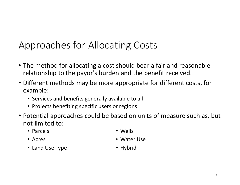# Approaches for Allocating Costs

- The method for allocating <sup>a</sup> cost should bear <sup>a</sup> fair and reasonable relationship to the payor's burden and the benefit received.
- Different methods may be more appropriate for different costs, for example:
	- Services and benefits generally available to all
	- Projects benefiting specific users or regions
- Potential approaches could be based on units of measure such as, but not limited to:
	- Parcels

• Wells

- Acres
- Land Use Type
- Water Use
- Hybrid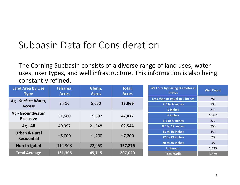# Subbasin Data for Consideration

The Corning Subbasin consists of <sup>a</sup> diverse range of land uses, water uses, user types, and well infrastructure. This information is also being constantly refined.

| Land Area by Use<br><b>Type</b> | Tehama,<br><b>Acres</b>                              | Glenn,<br><b>Acres</b> | Total,<br><b>Acres</b> | <b>Well Size by Casing Diameter in</b><br><b>Well Count</b><br><b>Inches</b> |
|---------------------------------|------------------------------------------------------|------------------------|------------------------|------------------------------------------------------------------------------|
| Ag - Surface Water,             |                                                      |                        |                        | Less than or equal to 2 inches<br>282                                        |
| <b>Access</b>                   | 9,416                                                | 5,650                  | 15,066                 | 2.5 to 4 inches<br>103                                                       |
|                                 |                                                      |                        |                        | 713<br>5 inches                                                              |
| Ag - Groundwater,               | 31,580                                               | 15,897                 | 47,477                 | 6 inches<br>1,587                                                            |
| <b>Exclusive</b>                |                                                      |                        | 6.5 to 8 inches<br>322 |                                                                              |
| $Ag - All$                      | 40,997                                               | 21,548                 | 62,544                 | 8.5 to 12 inches<br>360                                                      |
| <b>Urban &amp; Rural</b>        |                                                      |                        |                        | 13 to 16 inches<br>453                                                       |
| <b>Residential</b>              | $^{\sim}6,000$                                       | $^{\sim}1,200$         | ~7,200                 | 20<br>17 to 19 inches                                                        |
|                                 |                                                      |                        |                        | 38<br>20 to 36 inches                                                        |
|                                 | <b>Non-Irrigated</b><br>114,308<br>22,968<br>137,276 |                        |                        | <b>Unknown</b><br>2,339                                                      |
| <b>Total Acreage</b>            | 161,305                                              | 45,715                 | 207,020                | <b>Total Wells</b><br>3,879                                                  |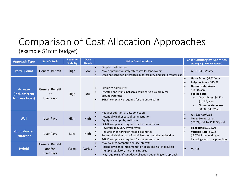#### Comparison of Cost Allocation Approaches (example \$1mm budget)

| <b>Approach Type</b>                                  | <b>Benefit Logic</b>                             | <b>Revenue</b><br><b>Stability</b> | <b>Data</b><br><b>Needs</b> | <b>Other Considerations</b>                                                                                                                                                                                      | <b>Cost Summary by Approach</b><br>(Example \$1M/Year Budget)                                                                                                                                                                                                              |
|-------------------------------------------------------|--------------------------------------------------|------------------------------------|-----------------------------|------------------------------------------------------------------------------------------------------------------------------------------------------------------------------------------------------------------|----------------------------------------------------------------------------------------------------------------------------------------------------------------------------------------------------------------------------------------------------------------------------|
| <b>Parcel Count</b>                                   | <b>General Benefit</b>                           | High                               | Low                         | Simple to administer<br>May disproportionately affect smaller landowners<br>Does not consider differences in parcel size, land use, or water use                                                                 | All: \$104.33/parcel                                                                                                                                                                                                                                                       |
| <b>Acreage</b><br>(incl. different<br>land use types) | General Benefit<br><b>or</b><br><b>User Pays</b> | High                               | Low                         | Simple to administer<br>Irrigated and municipal acres could serve as a proxy for<br>groundwater use<br>SGMA compliance required for the entire basin                                                             | Gross Acres: \$4.82/acre<br>$\bullet$<br>Irrigates Acres: \$15.99<br><b>Groundwater Acres:</b><br>\$14.34/acre<br><b>Sliding Scale:</b><br>$\bullet$<br>Gross Acres: \$4.82 -<br>$\Omega$<br>\$14.34/acre<br><b>Groundwater Acres:</b><br>$\Omega$<br>\$0.00 - \$4.82/acre |
| <b>Well</b>                                           | <b>User Pays</b>                                 | High                               | High                        | Requires substantial data collection<br>Potentially higher cost of administration<br>Equity of charges by well type<br>SGMA compliance required for the entire basin                                             | All: \$257.80/well<br>Type: Exempted, or<br>\$79.74/well to \$637.96/well                                                                                                                                                                                                  |
| <b>Groundwater</b><br><b>Extraction</b>               | <b>User Pays</b>                                 | Low                                | <b>High</b>                 | Revenues may vary by year type<br>Requires monitoring or reliable estimates<br>Potentially higher cost of administration and data collection<br>SGMA compliance required for the entire basin                    | Fixed Rate: \$6.33/AF<br>$\bullet$<br>Variable Rate: \$5.92 -<br>$\bullet$<br>\$6.67/AF (depending on<br>hydrology and total pumping)                                                                                                                                      |
| <b>Hybrid</b>                                         | General Benefit<br>and/or<br><b>User Pays</b>    | Varies                             | Varies                      | May balance competing equity interests<br>Potentially higher implementation costs and risk of failure if<br>multiple regulatory mechanisms used<br>May require significant data collection depending on approach | Varies                                                                                                                                                                                                                                                                     |